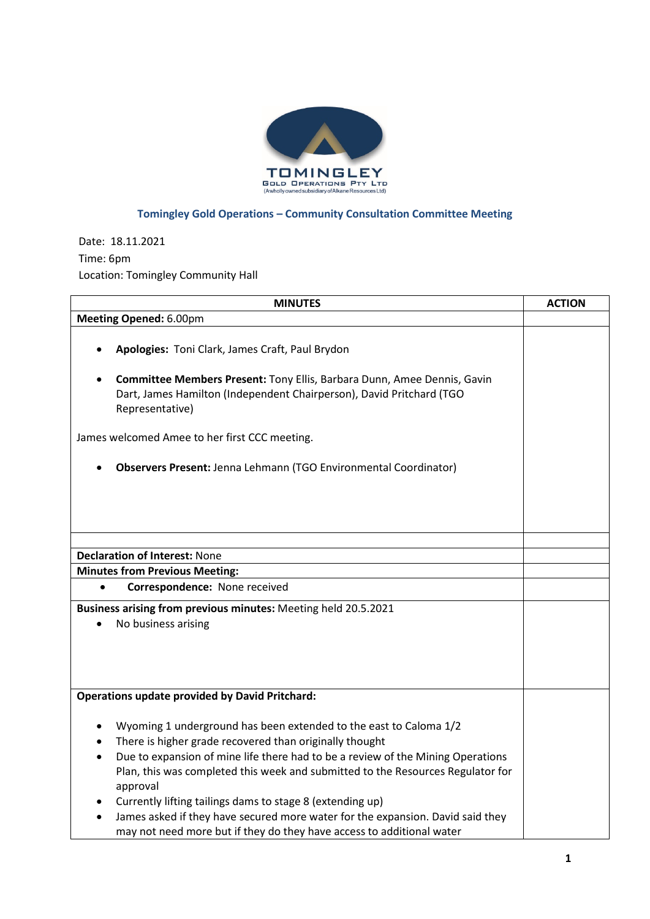

## **Tomingley Gold Operations – Community Consultation Committee Meeting**

Date: 18.11.2021 Time: 6pm Location: Tomingley Community Hall

| <b>MINUTES</b>                                                                                                                                                     | <b>ACTION</b> |
|--------------------------------------------------------------------------------------------------------------------------------------------------------------------|---------------|
| Meeting Opened: 6.00pm                                                                                                                                             |               |
|                                                                                                                                                                    |               |
| Apologies: Toni Clark, James Craft, Paul Brydon                                                                                                                    |               |
| Committee Members Present: Tony Ellis, Barbara Dunn, Amee Dennis, Gavin<br>Dart, James Hamilton (Independent Chairperson), David Pritchard (TGO<br>Representative) |               |
| James welcomed Amee to her first CCC meeting.                                                                                                                      |               |
| Observers Present: Jenna Lehmann (TGO Environmental Coordinator)                                                                                                   |               |
|                                                                                                                                                                    |               |
|                                                                                                                                                                    |               |
|                                                                                                                                                                    |               |
| <b>Declaration of Interest: None</b>                                                                                                                               |               |
| <b>Minutes from Previous Meeting:</b>                                                                                                                              |               |
| Correspondence: None received<br>$\bullet$                                                                                                                         |               |
|                                                                                                                                                                    |               |
| Business arising from previous minutes: Meeting held 20.5.2021                                                                                                     |               |
| No business arising                                                                                                                                                |               |
|                                                                                                                                                                    |               |
|                                                                                                                                                                    |               |
|                                                                                                                                                                    |               |
| <b>Operations update provided by David Pritchard:</b>                                                                                                              |               |
| Wyoming 1 underground has been extended to the east to Caloma 1/2                                                                                                  |               |
| There is higher grade recovered than originally thought<br>$\bullet$                                                                                               |               |
| Due to expansion of mine life there had to be a review of the Mining Operations<br>$\bullet$                                                                       |               |
| Plan, this was completed this week and submitted to the Resources Regulator for<br>approval                                                                        |               |
| Currently lifting tailings dams to stage 8 (extending up)                                                                                                          |               |
| James asked if they have secured more water for the expansion. David said they                                                                                     |               |
| may not need more but if they do they have access to additional water                                                                                              |               |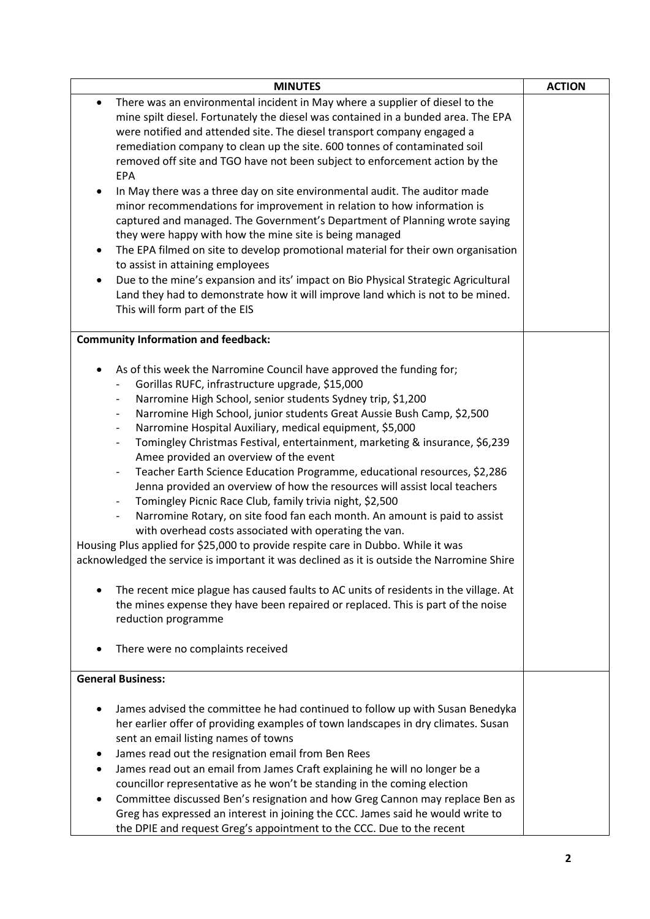| <b>MINUTES</b>                                                                                                                                                                                                                                                                                                                                                                                                                                                                                                                                                                                                                                                                                                                                                                                                                                                                                                                                                                                                                                                                                                                                                                                                                                                                                                                                                                                                  | <b>ACTION</b> |
|-----------------------------------------------------------------------------------------------------------------------------------------------------------------------------------------------------------------------------------------------------------------------------------------------------------------------------------------------------------------------------------------------------------------------------------------------------------------------------------------------------------------------------------------------------------------------------------------------------------------------------------------------------------------------------------------------------------------------------------------------------------------------------------------------------------------------------------------------------------------------------------------------------------------------------------------------------------------------------------------------------------------------------------------------------------------------------------------------------------------------------------------------------------------------------------------------------------------------------------------------------------------------------------------------------------------------------------------------------------------------------------------------------------------|---------------|
| There was an environmental incident in May where a supplier of diesel to the<br>$\bullet$<br>mine spilt diesel. Fortunately the diesel was contained in a bunded area. The EPA<br>were notified and attended site. The diesel transport company engaged a<br>remediation company to clean up the site. 600 tonnes of contaminated soil<br>removed off site and TGO have not been subject to enforcement action by the<br><b>EPA</b><br>In May there was a three day on site environmental audit. The auditor made<br>٠<br>minor recommendations for improvement in relation to how information is<br>captured and managed. The Government's Department of Planning wrote saying<br>they were happy with how the mine site is being managed<br>The EPA filmed on site to develop promotional material for their own organisation<br>٠<br>to assist in attaining employees<br>Due to the mine's expansion and its' impact on Bio Physical Strategic Agricultural<br>Land they had to demonstrate how it will improve land which is not to be mined.<br>This will form part of the EIS                                                                                                                                                                                                                                                                                                                             |               |
| <b>Community Information and feedback:</b>                                                                                                                                                                                                                                                                                                                                                                                                                                                                                                                                                                                                                                                                                                                                                                                                                                                                                                                                                                                                                                                                                                                                                                                                                                                                                                                                                                      |               |
| As of this week the Narromine Council have approved the funding for;<br>$\bullet$<br>Gorillas RUFC, infrastructure upgrade, \$15,000<br>Narromine High School, senior students Sydney trip, \$1,200<br>Narromine High School, junior students Great Aussie Bush Camp, \$2,500<br>$\overline{\phantom{a}}$<br>Narromine Hospital Auxiliary, medical equipment, \$5,000<br>$\overline{\phantom{a}}$<br>Tomingley Christmas Festival, entertainment, marketing & insurance, \$6,239<br>$\overline{\phantom{a}}$<br>Amee provided an overview of the event<br>Teacher Earth Science Education Programme, educational resources, \$2,286<br>$\qquad \qquad \blacksquare$<br>Jenna provided an overview of how the resources will assist local teachers<br>Tomingley Picnic Race Club, family trivia night, \$2,500<br>Narromine Rotary, on site food fan each month. An amount is paid to assist<br>$\qquad \qquad \blacksquare$<br>with overhead costs associated with operating the van.<br>Housing Plus applied for \$25,000 to provide respite care in Dubbo. While it was<br>acknowledged the service is important it was declined as it is outside the Narromine Shire<br>The recent mice plague has caused faults to AC units of residents in the village. At<br>the mines expense they have been repaired or replaced. This is part of the noise<br>reduction programme<br>There were no complaints received |               |
| <b>General Business:</b>                                                                                                                                                                                                                                                                                                                                                                                                                                                                                                                                                                                                                                                                                                                                                                                                                                                                                                                                                                                                                                                                                                                                                                                                                                                                                                                                                                                        |               |
| James advised the committee he had continued to follow up with Susan Benedyka<br>her earlier offer of providing examples of town landscapes in dry climates. Susan<br>sent an email listing names of towns<br>James read out the resignation email from Ben Rees<br>٠<br>James read out an email from James Craft explaining he will no longer be a<br>councillor representative as he won't be standing in the coming election<br>Committee discussed Ben's resignation and how Greg Cannon may replace Ben as<br>Greg has expressed an interest in joining the CCC. James said he would write to<br>the DPIE and request Greg's appointment to the CCC. Due to the recent                                                                                                                                                                                                                                                                                                                                                                                                                                                                                                                                                                                                                                                                                                                                     |               |